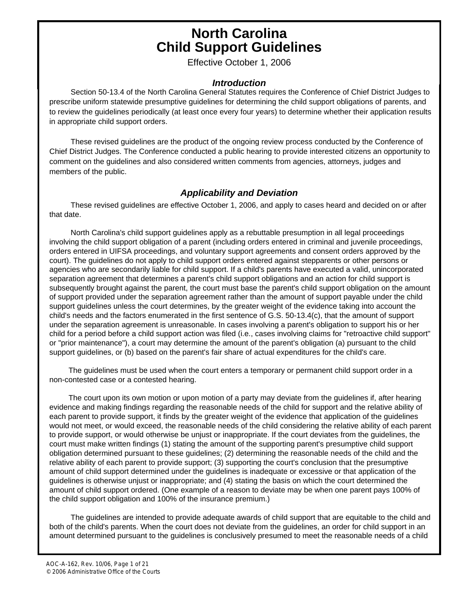### **North Carolina Child Support Guidelines**

Effective October 1, 2006

#### *Introduction*

 Section 50-13.4 of the North Carolina General Statutes requires the Conference of Chief District Judges to prescribe uniform statewide presumptive guidelines for determining the child support obligations of parents, and to review the guidelines periodically (at least once every four years) to determine whether their application results in appropriate child support orders.

 These revised guidelines are the product of the ongoing review process conducted by the Conference of Chief District Judges. The Conference conducted a public hearing to provide interested citizens an opportunity to comment on the guidelines and also considered written comments from agencies, attorneys, judges and members of the public.

#### *Applicability and Deviation*

 These revised guidelines are effective October 1, 2006, and apply to cases heard and decided on or after that date.

 North Carolina's child support guidelines apply as a rebuttable presumption in all legal proceedings involving the child support obligation of a parent (including orders entered in criminal and juvenile proceedings, orders entered in UIFSA proceedings, and voluntary support agreements and consent orders approved by the court). The guidelines do not apply to child support orders entered against stepparents or other persons or agencies who are secondarily liable for child support. If a child's parents have executed a valid, unincorporated separation agreement that determines a parent's child support obligations and an action for child support is subsequently brought against the parent, the court must base the parent's child support obligation on the amount of support provided under the separation agreement rather than the amount of support payable under the child support guidelines unless the court determines, by the greater weight of the evidence taking into account the child's needs and the factors enumerated in the first sentence of G.S. 50-13.4(c), that the amount of support under the separation agreement is unreasonable. In cases involving a parent's obligation to support his or her child for a period before a child support action was filed (i.e., cases involving claims for "retroactive child support" or "prior maintenance"), a court may determine the amount of the parent's obligation (a) pursuant to the child support guidelines, or (b) based on the parent's fair share of actual expenditures for the child's care.

 The guidelines must be used when the court enters a temporary or permanent child support order in a non-contested case or a contested hearing.

 The court upon its own motion or upon motion of a party may deviate from the guidelines if, after hearing evidence and making findings regarding the reasonable needs of the child for support and the relative ability of each parent to provide support, it finds by the greater weight of the evidence that application of the guidelines would not meet, or would exceed, the reasonable needs of the child considering the relative ability of each parent to provide support, or would otherwise be unjust or inappropriate. If the court deviates from the guidelines, the court must make written findings (1) stating the amount of the supporting parent's presumptive child support obligation determined pursuant to these guidelines; (2) determining the reasonable needs of the child and the relative ability of each parent to provide support; (3) supporting the court's conclusion that the presumptive amount of child support determined under the guidelines is inadequate or excessive or that application of the guidelines is otherwise unjust or inappropriate; and (4) stating the basis on which the court determined the amount of child support ordered. (One example of a reason to deviate may be when one parent pays 100% of the child support obligation and 100% of the insurance premium.)

 The guidelines are intended to provide adequate awards of child support that are equitable to the child and both of the child's parents. When the court does not deviate from the guidelines, an order for child support in an amount determined pursuant to the guidelines is conclusively presumed to meet the reasonable needs of a child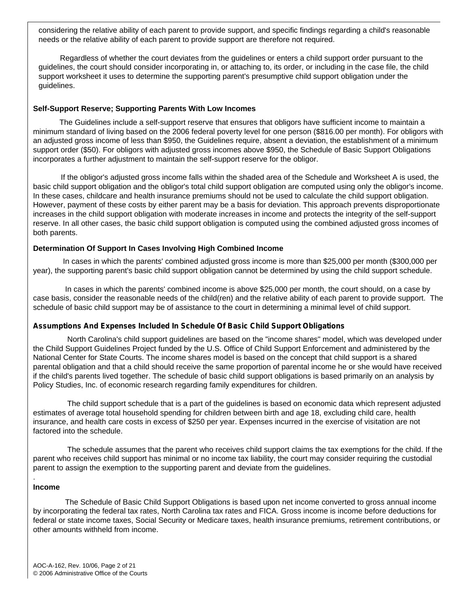considering the relative ability of each parent to provide support, and specific findings regarding a child's reasonable needs or the relative ability of each parent to provide support are therefore not required.

 Regardless of whether the court deviates from the guidelines or enters a child support order pursuant to the guidelines, the court should consider incorporating in, or attaching to, its order, or including in the case file, the child support worksheet it uses to determine the supporting parent's presumptive child support obligation under the guidelines.

#### **Self-Support Reserve; Supporting Parents With Low Incomes**

 The Guidelines include a self-support reserve that ensures that obligors have sufficient income to maintain a minimum standard of living based on the 2006 federal poverty level for one person (\$816.00 per month). For obligors with an adjusted gross income of less than \$950, the Guidelines require, absent a deviation, the establishment of a minimum support order (\$50). For obligors with adjusted gross incomes above \$950, the Schedule of Basic Support Obligations incorporates a further adjustment to maintain the self-support reserve for the obligor.

 If the obligor's adjusted gross income falls within the shaded area of the Schedule and Worksheet A is used, the basic child support obligation and the obligor's total child support obligation are computed using only the obligor's income. In these cases, childcare and health insurance premiums should not be used to calculate the child support obligation. However, payment of these costs by either parent may be a basis for deviation. This approach prevents disproportionate increases in the child support obligation with moderate increases in income and protects the integrity of the self-support reserve. In all other cases, the basic child support obligation is computed using the combined adjusted gross incomes of both parents.

#### **Determination Of Support In Cases Involving High Combined Income**

 In cases in which the parents' combined adjusted gross income is more than \$25,000 per month (\$300,000 per year), the supporting parent's basic child support obligation cannot be determined by using the child support schedule.

 In cases in which the parents' combined income is above \$25,000 per month, the court should, on a case by case basis, consider the reasonable needs of the child(ren) and the relative ability of each parent to provide support. The schedule of basic child support may be of assistance to the court in determining a minimal level of child support.

#### **Assumptions And Expenses Included In Schedule Of Basic Child Support Obligations**

 North Carolina's child support guidelines are based on the "income shares" model, which was developed under the Child Support Guidelines Project funded by the U.S. Office of Child Support Enforcement and administered by the National Center for State Courts. The income shares model is based on the concept that child support is a shared parental obligation and that a child should receive the same proportion of parental income he or she would have received if the child's parents lived together. The schedule of basic child support obligations is based primarily on an analysis by Policy Studies, Inc. of economic research regarding family expenditures for children.

 The child support schedule that is a part of the guidelines is based on economic data which represent adjusted estimates of average total household spending for children between birth and age 18, excluding child care, health insurance, and health care costs in excess of \$250 per year. Expenses incurred in the exercise of visitation are not factored into the schedule.

 The schedule assumes that the parent who receives child support claims the tax exemptions for the child. If the parent who receives child support has minimal or no income tax liability, the court may consider requiring the custodial parent to assign the exemption to the supporting parent and deviate from the guidelines.

#### **Income**

.

 The Schedule of Basic Child Support Obligations is based upon net income converted to gross annual income by incorporating the federal tax rates, North Carolina tax rates and FICA. Gross income is income before deductions for federal or state income taxes, Social Security or Medicare taxes, health insurance premiums, retirement contributions, or other amounts withheld from income.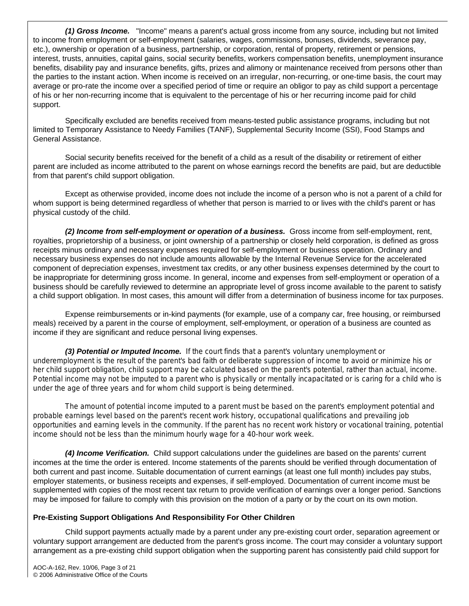*(1) Gross Income.*"Income" means a parent's actual gross income from any source, including but not limited to income from employment or self-employment (salaries, wages, commissions, bonuses, dividends, severance pay, etc.), ownership or operation of a business, partnership, or corporation, rental of property, retirement or pensions, interest, trusts, annuities, capital gains, social security benefits, workers compensation benefits, unemployment insurance benefits, disability pay and insurance benefits, gifts, prizes and alimony or maintenance received from persons other than the parties to the instant action. When income is received on an irregular, non-recurring, or one-time basis, the court may average or pro-rate the income over a specified period of time or require an obligor to pay as child support a percentage of his or her non-recurring income that is equivalent to the percentage of his or her recurring income paid for child support.

 Specifically excluded are benefits received from means-tested public assistance programs, including but not limited to Temporary Assistance to Needy Families (TANF), Supplemental Security Income (SSI), Food Stamps and General Assistance.

 Social security benefits received for the benefit of a child as a result of the disability or retirement of either parent are included as income attributed to the parent on whose earnings record the benefits are paid, but are deductible from that parent's child support obligation.

 Except as otherwise provided, income does not include the income of a person who is not a parent of a child for whom support is being determined regardless of whether that person is married to or lives with the child's parent or has physical custody of the child.

 *(2) Income from self-employment or operation of a business.* Gross income from self-employment, rent, royalties, proprietorship of a business, or joint ownership of a partnership or closely held corporation, is defined as gross receipts minus ordinary and necessary expenses required for self-employment or business operation. Ordinary and necessary business expenses do not include amounts allowable by the Internal Revenue Service for the accelerated component of depreciation expenses, investment tax credits, or any other business expenses determined by the court to be inappropriate for determining gross income. In general, income and expenses from self-employment or operation of a business should be carefully reviewed to determine an appropriate level of gross income available to the parent to satisfy a child support obligation. In most cases, this amount will differ from a determination of business income for tax purposes.

 Expense reimbursements or in-kind payments (for example, use of a company car, free housing, or reimbursed meals) received by a parent in the course of employment, self-employment, or operation of a business are counted as income if they are significant and reduce personal living expenses.

**(3) Potential or Imputed Income.** If the court finds that a parent's voluntary unemployment or underemployment is the result of the parent's bad faith or deliberate suppression of income to avoid or minimize his or her child support obligation, child support may be calculated based on the parent's potential, rather than actual, income. Potential income may not be imputed to a parent who is physically or mentally incapacitated or is caring for a child who is under the age of three years and for whom child support is being determined.

 The amount of potential income imputed to a parent must be based on the parent's employment potential and probable earnings level based on the parent's recent work history, occupational qualifications and prevailing job opportunities and earning levels in the community. If the parent has no recent work history or vocational training, potential income should not be less than the minimum hourly wage for a 40-hour work week.

 *(4) Income Verification.* Child support calculations under the guidelines are based on the parents' current incomes at the time the order is entered. Income statements of the parents should be verified through documentation of both current and past income. Suitable documentation of current earnings (at least one full month) includes pay stubs, employer statements, or business receipts and expenses, if self-employed. Documentation of current income must be supplemented with copies of the most recent tax return to provide verification of earnings over a longer period. Sanctions may be imposed for failure to comply with this provision on the motion of a party or by the court on its own motion.

#### **Pre-Existing Support Obligations And Responsibility For Other Children**

 Child support payments actually made by a parent under any pre-existing court order, separation agreement or voluntary support arrangement are deducted from the parent's gross income. The court may consider a voluntary support arrangement as a pre-existing child support obligation when the supporting parent has consistently paid child support for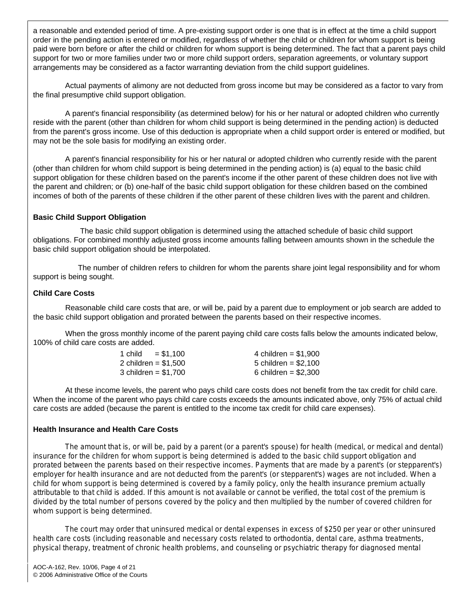a reasonable and extended period of time. A pre-existing support order is one that is in effect at the time a child support order in the pending action is entered or modified, regardless of whether the child or children for whom support is being paid were born before or after the child or children for whom support is being determined. The fact that a parent pays child support for two or more families under two or more child support orders, separation agreements, or voluntary support arrangements may be considered as a factor warranting deviation from the child support guidelines.

 Actual payments of alimony are not deducted from gross income but may be considered as a factor to vary from the final presumptive child support obligation.

 A parent's financial responsibility (as determined below) for his or her natural or adopted children who currently reside with the parent (other than children for whom child support is being determined in the pending action) is deducted from the parent's gross income. Use of this deduction is appropriate when a child support order is entered or modified, but may not be the sole basis for modifying an existing order.

 A parent's financial responsibility for his or her natural or adopted children who currently reside with the parent (other than children for whom child support is being determined in the pending action) is (a) equal to the basic child support obligation for these children based on the parent's income if the other parent of these children does not live with the parent and children; or (b) one-half of the basic child support obligation for these children based on the combined incomes of both of the parents of these children if the other parent of these children lives with the parent and children.

#### **Basic Child Support Obligation**

 The basic child support obligation is determined using the attached schedule of basic child support obligations. For combined monthly adjusted gross income amounts falling between amounts shown in the schedule the basic child support obligation should be interpolated.

 The number of children refers to children for whom the parents share joint legal responsibility and for whom support is being sought.

#### **Child Care Costs**

 Reasonable child care costs that are, or will be, paid by a parent due to employment or job search are added to the basic child support obligation and prorated between the parents based on their respective incomes.

 When the gross monthly income of the parent paying child care costs falls below the amounts indicated below, 100% of child care costs are added.

| 1 child<br>$= $1.100$ | 4 children = $$1.900$ |
|-----------------------|-----------------------|
| 2 children = \$1.500  | 5 children = $$2.100$ |
| 3 children = \$1.700  | 6 children = $$2.300$ |

 At these income levels, the parent who pays child care costs does not benefit from the tax credit for child care. When the income of the parent who pays child care costs exceeds the amounts indicated above, only 75% of actual child care costs are added (because the parent is entitled to the income tax credit for child care expenses).

#### **Health Insurance and Health Care Costs**

 The amount that is, or will be, paid by a parent (or a parent's spouse) for health (medical, or medical and dental) insurance for the children for whom support is being determined is added to the basic child support obligation and prorated between the parents based on their respective incomes. Payments that are made by a parent's (or stepparent's) employer for health insurance and are not deducted from the parent's (or stepparent's) wages are not included. When a child for whom support is being determined is covered by a family policy, only the health insurance premium actually attributable to that child is added. If this amount is not available or cannot be verified, the total cost of the premium is divided by the total number of persons covered by the policy and then multiplied by the number of covered children for whom support is being determined.

 The court may order that uninsured medical or dental expenses in excess of \$250 per year or other uninsured health care costs (including reasonable and necessary costs related to orthodontia, dental care, asthma treatments, physical therapy, treatment of chronic health problems, and counseling or psychiatric therapy for diagnosed mental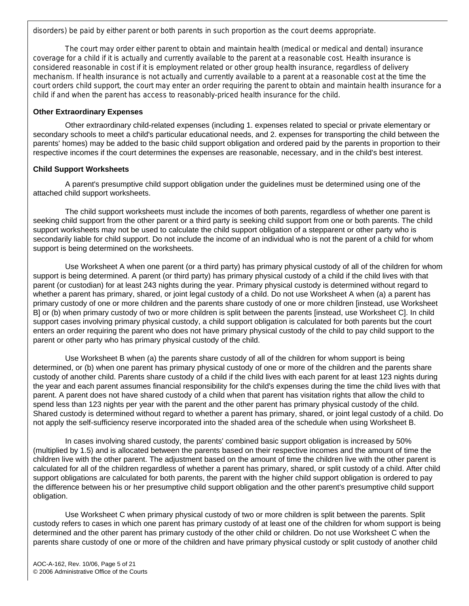disorders) be paid by either parent or both parents in such proportion as the court deems appropriate.

 The court may order either parent to obtain and maintain health (medical or medical and dental) insurance coverage for a child if it is actually and currently available to the parent at a reasonable cost. Health insurance is considered reasonable in cost if it is employment related or other group health insurance, regardless of delivery mechanism. If health insurance is not actually and currently available to a parent at a reasonable cost at the time the court orders child support, the court may enter an order requiring the parent to obtain and maintain health insurance for a child if and when the parent has access to reasonably-priced health insurance for the child.

#### **Other Extraordinary Expenses**

 Other extraordinary child-related expenses (including 1. expenses related to special or private elementary or secondary schools to meet a child's particular educational needs, and 2. expenses for transporting the child between the parents' homes) may be added to the basic child support obligation and ordered paid by the parents in proportion to their respective incomes if the court determines the expenses are reasonable, necessary, and in the child's best interest.

#### **Child Support Worksheets**

 A parent's presumptive child support obligation under the guidelines must be determined using one of the attached child support worksheets.

 The child support worksheets must include the incomes of both parents, regardless of whether one parent is seeking child support from the other parent or a third party is seeking child support from one or both parents. The child support worksheets may not be used to calculate the child support obligation of a stepparent or other party who is secondarily liable for child support. Do not include the income of an individual who is not the parent of a child for whom support is being determined on the worksheets.

 Use Worksheet A when one parent (or a third party) has primary physical custody of all of the children for whom support is being determined. A parent (or third party) has primary physical custody of a child if the child lives with that parent (or custodian) for at least 243 nights during the year. Primary physical custody is determined without regard to whether a parent has primary, shared, or joint legal custody of a child. Do not use Worksheet A when (a) a parent has primary custody of one or more children and the parents share custody of one or more children [instead, use Worksheet B] or (b) when primary custody of two or more children is split between the parents [instead, use Worksheet C]. In child support cases involving primary physical custody, a child support obligation is calculated for both parents but the court enters an order requiring the parent who does not have primary physical custody of the child to pay child support to the parent or other party who has primary physical custody of the child.

 Use Worksheet B when (a) the parents share custody of all of the children for whom support is being determined, or (b) when one parent has primary physical custody of one or more of the children and the parents share custody of another child. Parents share custody of a child if the child lives with each parent for at least 123 nights during the year and each parent assumes financial responsibility for the child's expenses during the time the child lives with that parent. A parent does not have shared custody of a child when that parent has visitation rights that allow the child to spend less than 123 nights per year with the parent and the other parent has primary physical custody of the child. Shared custody is determined without regard to whether a parent has primary, shared, or joint legal custody of a child. Do not apply the self-sufficiency reserve incorporated into the shaded area of the schedule when using Worksheet B.

 In cases involving shared custody, the parents' combined basic support obligation is increased by 50% (multiplied by 1.5) and is allocated between the parents based on their respective incomes and the amount of time the children live with the other parent. The adjustment based on the amount of time the children live with the other parent is calculated for all of the children regardless of whether a parent has primary, shared, or split custody of a child. After child support obligations are calculated for both parents, the parent with the higher child support obligation is ordered to pay the difference between his or her presumptive child support obligation and the other parent's presumptive child support obligation.

 Use Worksheet C when primary physical custody of two or more children is split between the parents. Split custody refers to cases in which one parent has primary custody of at least one of the children for whom support is being determined and the other parent has primary custody of the other child or children. Do not use Worksheet C when the parents share custody of one or more of the children and have primary physical custody or split custody of another child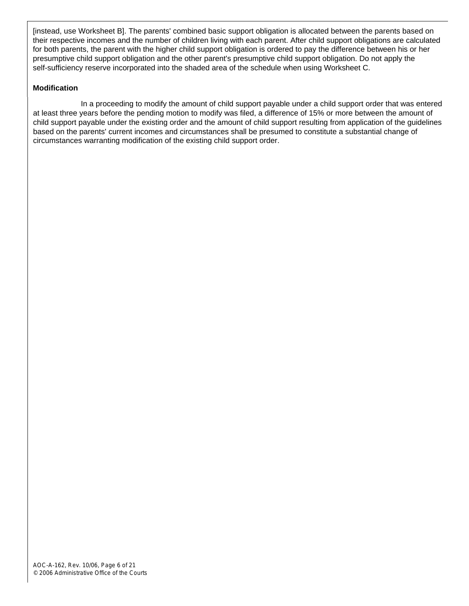[instead, use Worksheet B]. The parents' combined basic support obligation is allocated between the parents based on their respective incomes and the number of children living with each parent. After child support obligations are calculated for both parents, the parent with the higher child support obligation is ordered to pay the difference between his or her presumptive child support obligation and the other parent's presumptive child support obligation. Do not apply the self-sufficiency reserve incorporated into the shaded area of the schedule when using Worksheet C.

#### **Modification**

 In a proceeding to modify the amount of child support payable under a child support order that was entered at least three years before the pending motion to modify was filed, a difference of 15% or more between the amount of child support payable under the existing order and the amount of child support resulting from application of the guidelines based on the parents' current incomes and circumstances shall be presumed to constitute a substantial change of circumstances warranting modification of the existing child support order.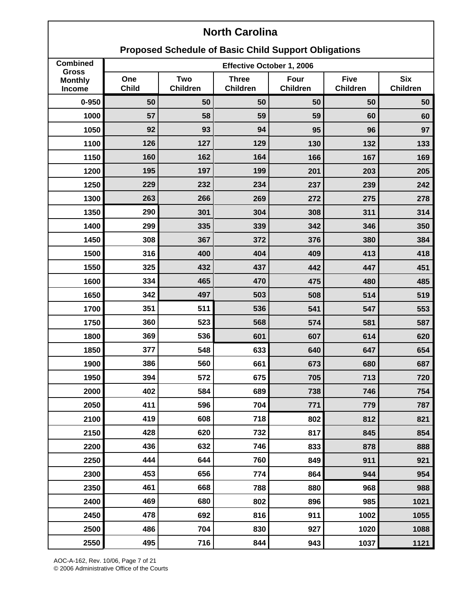### **Proposed Schedule of Basic Child Support Obligations**

| <b>Combined</b>                          | Effective October 1, 2006 |                        |                                 |                         |                                |                               |
|------------------------------------------|---------------------------|------------------------|---------------------------------|-------------------------|--------------------------------|-------------------------------|
| <b>Gross</b><br><b>Monthly</b><br>Income | One<br><b>Child</b>       | Two<br><b>Children</b> | <b>Three</b><br><b>Children</b> | Four<br><b>Children</b> | <b>Five</b><br><b>Children</b> | <b>Six</b><br><b>Children</b> |
| $0 - 950$                                | 50                        | 50                     | 50                              | 50                      | 50                             | 50                            |
| 1000                                     | 57                        | 58                     | 59                              | 59                      | 60                             | 60                            |
| 1050                                     | 92                        | 93                     | 94                              | 95                      | 96                             | 97                            |
| 1100                                     | 126                       | 127                    | 129                             | 130                     | 132                            | 133                           |
| 1150                                     | 160                       | 162                    | 164                             | 166                     | 167                            | 169                           |
| 1200                                     | 195                       | 197                    | 199                             | 201                     | 203                            | 205                           |
| 1250                                     | 229                       | 232                    | 234                             | 237                     | 239                            | 242                           |
| 1300                                     | 263                       | 266                    | 269                             | 272                     | 275                            | 278                           |
| 1350                                     | 290                       | 301                    | 304                             | 308                     | 311                            | 314                           |
| 1400                                     | 299                       | 335                    | 339                             | 342                     | 346                            | 350                           |
| 1450                                     | 308                       | 367                    | 372                             | 376                     | 380                            | 384                           |
| 1500                                     | 316                       | 400                    | 404                             | 409                     | 413                            | 418                           |
| 1550                                     | 325                       | 432                    | 437                             | 442                     | 447                            | 451                           |
| 1600                                     | 334                       | 465                    | 470                             | 475                     | 480                            | 485                           |
| 1650                                     | 342                       | 497                    | 503                             | 508                     | 514                            | 519                           |
| 1700                                     | 351                       | 511                    | 536                             | 541                     | 547                            | 553                           |
| 1750                                     | 360                       | 523                    | 568                             | 574                     | 581                            | 587                           |
| 1800                                     | 369                       | 536                    | 601                             | 607                     | 614                            | 620                           |
| 1850                                     | 377                       | 548                    | 633                             | 640                     | 647                            | 654                           |
| 1900                                     | 386                       | 560                    | 661                             | 673                     | 680                            | 687                           |
| 1950                                     | 394                       | 572                    | 675                             | 705                     | 713                            | 720                           |
| 2000                                     | 402                       | 584                    | 689                             | 738                     | 746                            | 754                           |
| 2050                                     | 411                       | 596                    | 704                             | 771                     | 779                            | 787                           |
| 2100                                     | 419                       | 608                    | 718                             | 802                     | 812                            | 821                           |
| 2150                                     | 428                       | 620                    | 732                             | 817                     | 845                            | 854                           |
| 2200                                     | 436                       | 632                    | 746                             | 833                     | 878                            | 888                           |
| 2250                                     | 444                       | 644                    | 760                             | 849                     | 911                            | 921                           |
| 2300                                     | 453                       | 656                    | 774                             | 864                     | 944                            | 954                           |
| 2350                                     | 461                       | 668                    | 788                             | 880                     | 968                            | 988                           |
| 2400                                     | 469                       | 680                    | 802                             | 896                     | 985                            | 1021                          |
| 2450                                     | 478                       | 692                    | 816                             | 911                     | 1002                           | 1055                          |
| 2500                                     | 486                       | 704                    | 830                             | 927                     | 1020                           | 1088                          |
| 2550                                     | 495                       | 716                    | 844                             | 943                     | 1037                           | 1121                          |

AOC-A-162, Rev. 10/06, Page 7 of 21 © 2006 Administrative Office of the Courts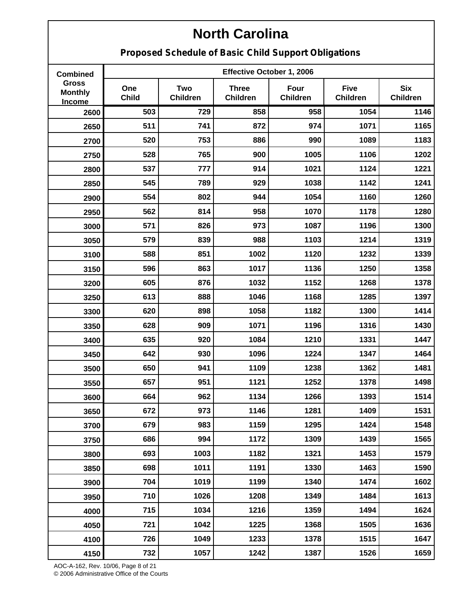**Proposed Schedule of Basic Child Support Obligations**

| <b>Combined</b>                                 |                     | Effective October 1, 2006     |                                 |                         |                                |                               |  |
|-------------------------------------------------|---------------------|-------------------------------|---------------------------------|-------------------------|--------------------------------|-------------------------------|--|
| <b>Gross</b><br><b>Monthly</b><br><b>Income</b> | One<br><b>Child</b> | <b>Two</b><br><b>Children</b> | <b>Three</b><br><b>Children</b> | Four<br><b>Children</b> | <b>Five</b><br><b>Children</b> | <b>Six</b><br><b>Children</b> |  |
| 2600                                            | 503                 | 729                           | 858                             | 958                     | 1054                           | 1146                          |  |
| 2650                                            | 511                 | 741                           | 872                             | 974                     | 1071                           | 1165                          |  |
| 2700                                            | 520                 | 753                           | 886                             | 990                     | 1089                           | 1183                          |  |
| 2750                                            | 528                 | 765                           | 900                             | 1005                    | 1106                           | 1202                          |  |
| 2800                                            | 537                 | 777                           | 914                             | 1021                    | 1124                           | 1221                          |  |
| 2850                                            | 545                 | 789                           | 929                             | 1038                    | 1142                           | 1241                          |  |
| 2900                                            | 554                 | 802                           | 944                             | 1054                    | 1160                           | 1260                          |  |
| 2950                                            | 562                 | 814                           | 958                             | 1070                    | 1178                           | 1280                          |  |
| 3000                                            | 571                 | 826                           | 973                             | 1087                    | 1196                           | 1300                          |  |
| 3050                                            | 579                 | 839                           | 988                             | 1103                    | 1214                           | 1319                          |  |
| 3100                                            | 588                 | 851                           | 1002                            | 1120                    | 1232                           | 1339                          |  |
| 3150                                            | 596                 | 863                           | 1017                            | 1136                    | 1250                           | 1358                          |  |
| 3200                                            | 605                 | 876                           | 1032                            | 1152                    | 1268                           | 1378                          |  |
| 3250                                            | 613                 | 888                           | 1046                            | 1168                    | 1285                           | 1397                          |  |
| 3300                                            | 620                 | 898                           | 1058                            | 1182                    | 1300                           | 1414                          |  |
| 3350                                            | 628                 | 909                           | 1071                            | 1196                    | 1316                           | 1430                          |  |
| 3400                                            | 635                 | 920                           | 1084                            | 1210                    | 1331                           | 1447                          |  |
| 3450                                            | 642                 | 930                           | 1096                            | 1224                    | 1347                           | 1464                          |  |
| 3500                                            | 650                 | 941                           | 1109                            | 1238                    | 1362                           | 1481                          |  |
| 3550                                            | 657                 | 951                           | 1121                            | 1252                    | 1378                           | 1498                          |  |
| 3600                                            | 664                 | 962                           | 1134                            | 1266                    | 1393                           | 1514                          |  |
| 3650                                            | 672                 | 973                           | 1146                            | 1281                    | 1409                           | 1531                          |  |
| 3700                                            | 679                 | 983                           | 1159                            | 1295                    | 1424                           | 1548                          |  |
| 3750                                            | 686                 | 994                           | 1172                            | 1309                    | 1439                           | 1565                          |  |
| 3800                                            | 693                 | 1003                          | 1182                            | 1321                    | 1453                           | 1579                          |  |
| 3850                                            | 698                 | 1011                          | 1191                            | 1330                    | 1463                           | 1590                          |  |
| 3900                                            | 704                 | 1019                          | 1199                            | 1340                    | 1474                           | 1602                          |  |
| 3950                                            | 710                 | 1026                          | 1208                            | 1349                    | 1484                           | 1613                          |  |
| 4000                                            | 715                 | 1034                          | 1216                            | 1359                    | 1494                           | 1624                          |  |
| 4050                                            | 721                 | 1042                          | 1225                            | 1368                    | 1505                           | 1636                          |  |
| 4100                                            | 726                 | 1049                          | 1233                            | 1378                    | 1515                           | 1647                          |  |
| 4150                                            | 732                 | 1057                          | 1242                            | 1387                    | 1526                           | 1659                          |  |

AOC-A-162, Rev. 10/06, Page 8 of 21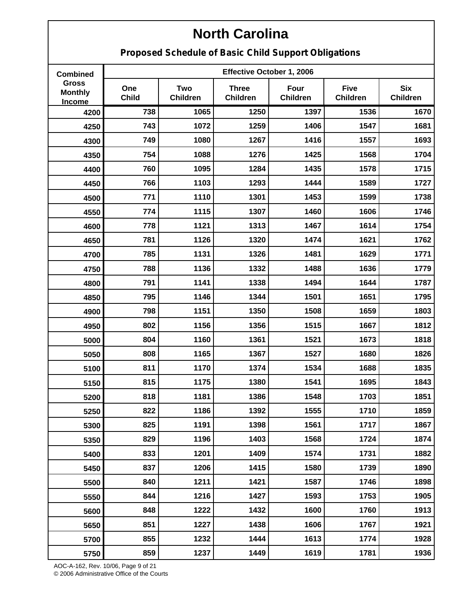**Proposed Schedule of Basic Child Support Obligations**

| <b>Combined</b>                                 |                     |                               | Effective October 1, 2006       |                         |                                |                               |
|-------------------------------------------------|---------------------|-------------------------------|---------------------------------|-------------------------|--------------------------------|-------------------------------|
| <b>Gross</b><br><b>Monthly</b><br><b>Income</b> | One<br><b>Child</b> | <b>Two</b><br><b>Children</b> | <b>Three</b><br><b>Children</b> | Four<br><b>Children</b> | <b>Five</b><br><b>Children</b> | <b>Six</b><br><b>Children</b> |
| 4200                                            | 738                 | 1065                          | 1250                            | 1397                    | 1536                           | 1670                          |
| 4250                                            | 743                 | 1072                          | 1259                            | 1406                    | 1547                           | 1681                          |
| 4300                                            | 749                 | 1080                          | 1267                            | 1416                    | 1557                           | 1693                          |
| 4350                                            | 754                 | 1088                          | 1276                            | 1425                    | 1568                           | 1704                          |
| 4400                                            | 760                 | 1095                          | 1284                            | 1435                    | 1578                           | 1715                          |
| 4450                                            | 766                 | 1103                          | 1293                            | 1444                    | 1589                           | 1727                          |
| 4500                                            | 771                 | 1110                          | 1301                            | 1453                    | 1599                           | 1738                          |
| 4550                                            | 774                 | 1115                          | 1307                            | 1460                    | 1606                           | 1746                          |
| 4600                                            | 778                 | 1121                          | 1313                            | 1467                    | 1614                           | 1754                          |
| 4650                                            | 781                 | 1126                          | 1320                            | 1474                    | 1621                           | 1762                          |
| 4700                                            | 785                 | 1131                          | 1326                            | 1481                    | 1629                           | 1771                          |
| 4750                                            | 788                 | 1136                          | 1332                            | 1488                    | 1636                           | 1779                          |
| 4800                                            | 791                 | 1141                          | 1338                            | 1494                    | 1644                           | 1787                          |
| 4850                                            | 795                 | 1146                          | 1344                            | 1501                    | 1651                           | 1795                          |
| 4900                                            | 798                 | 1151                          | 1350                            | 1508                    | 1659                           | 1803                          |
| 4950                                            | 802                 | 1156                          | 1356                            | 1515                    | 1667                           | 1812                          |
| 5000                                            | 804                 | 1160                          | 1361                            | 1521                    | 1673                           | 1818                          |
| 5050                                            | 808                 | 1165                          | 1367                            | 1527                    | 1680                           | 1826                          |
| 5100                                            | 811                 | 1170                          | 1374                            | 1534                    | 1688                           | 1835                          |
| 5150                                            | 815                 | 1175                          | 1380                            | 1541                    | 1695                           | 1843                          |
| 5200                                            | 818                 | 1181                          | 1386                            | 1548                    | 1703                           | 1851                          |
| 5250                                            | 822                 | 1186                          | 1392                            | 1555                    | 1710                           | 1859                          |
| 5300                                            | 825                 | 1191                          | 1398                            | 1561                    | 1717                           | 1867                          |
| 5350                                            | 829                 | 1196                          | 1403                            | 1568                    | 1724                           | 1874                          |
| 5400                                            | 833                 | 1201                          | 1409                            | 1574                    | 1731                           | 1882                          |
| 5450                                            | 837                 | 1206                          | 1415                            | 1580                    | 1739                           | 1890                          |
| 5500                                            | 840                 | 1211                          | 1421                            | 1587                    | 1746                           | 1898                          |
| 5550                                            | 844                 | 1216                          | 1427                            | 1593                    | 1753                           | 1905                          |
| 5600                                            | 848                 | 1222                          | 1432                            | 1600                    | 1760                           | 1913                          |
| 5650                                            | 851                 | 1227                          | 1438                            | 1606                    | 1767                           | 1921                          |
| 5700                                            | 855                 | 1232                          | 1444                            | 1613                    | 1774                           | 1928                          |
| 5750                                            | 859                 | 1237                          | 1449                            | 1619                    | 1781                           | 1936                          |

AOC-A-162, Rev. 10/06, Page 9 of 21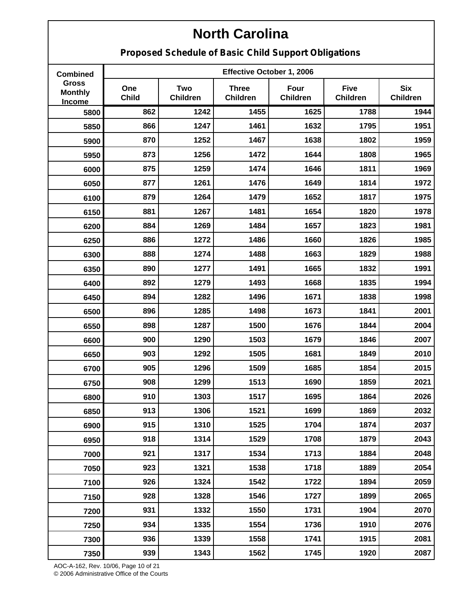**Proposed Schedule of Basic Child Support Obligations**

| <b>Combined</b>                                 |                     |                               | Effective October 1, 2006       |                         |                                |                               |
|-------------------------------------------------|---------------------|-------------------------------|---------------------------------|-------------------------|--------------------------------|-------------------------------|
| <b>Gross</b><br><b>Monthly</b><br><b>Income</b> | One<br><b>Child</b> | <b>Two</b><br><b>Children</b> | <b>Three</b><br><b>Children</b> | Four<br><b>Children</b> | <b>Five</b><br><b>Children</b> | <b>Six</b><br><b>Children</b> |
| 5800                                            | 862                 | 1242                          | 1455                            | 1625                    | 1788                           | 1944                          |
| 5850                                            | 866                 | 1247                          | 1461                            | 1632                    | 1795                           | 1951                          |
| 5900                                            | 870                 | 1252                          | 1467                            | 1638                    | 1802                           | 1959                          |
| 5950                                            | 873                 | 1256                          | 1472                            | 1644                    | 1808                           | 1965                          |
| 6000                                            | 875                 | 1259                          | 1474                            | 1646                    | 1811                           | 1969                          |
| 6050                                            | 877                 | 1261                          | 1476                            | 1649                    | 1814                           | 1972                          |
| 6100                                            | 879                 | 1264                          | 1479                            | 1652                    | 1817                           | 1975                          |
| 6150                                            | 881                 | 1267                          | 1481                            | 1654                    | 1820                           | 1978                          |
| 6200                                            | 884                 | 1269                          | 1484                            | 1657                    | 1823                           | 1981                          |
| 6250                                            | 886                 | 1272                          | 1486                            | 1660                    | 1826                           | 1985                          |
| 6300                                            | 888                 | 1274                          | 1488                            | 1663                    | 1829                           | 1988                          |
| 6350                                            | 890                 | 1277                          | 1491                            | 1665                    | 1832                           | 1991                          |
| 6400                                            | 892                 | 1279                          | 1493                            | 1668                    | 1835                           | 1994                          |
| 6450                                            | 894                 | 1282                          | 1496                            | 1671                    | 1838                           | 1998                          |
| 6500                                            | 896                 | 1285                          | 1498                            | 1673                    | 1841                           | 2001                          |
| 6550                                            | 898                 | 1287                          | 1500                            | 1676                    | 1844                           | 2004                          |
| 6600                                            | 900                 | 1290                          | 1503                            | 1679                    | 1846                           | 2007                          |
| 6650                                            | 903                 | 1292                          | 1505                            | 1681                    | 1849                           | 2010                          |
| 6700                                            | 905                 | 1296                          | 1509                            | 1685                    | 1854                           | 2015                          |
| 6750                                            | 908                 | 1299                          | 1513                            | 1690                    | 1859                           | 2021                          |
| 6800                                            | 910                 | 1303                          | 1517                            | 1695                    | 1864                           | 2026                          |
| 6850                                            | 913                 | 1306                          | 1521                            | 1699                    | 1869                           | 2032                          |
| 6900                                            | 915                 | 1310                          | 1525                            | 1704                    | 1874                           | 2037                          |
| 6950                                            | 918                 | 1314                          | 1529                            | 1708                    | 1879                           | 2043                          |
| 7000                                            | 921                 | 1317                          | 1534                            | 1713                    | 1884                           | 2048                          |
| 7050                                            | 923                 | 1321                          | 1538                            | 1718                    | 1889                           | 2054                          |
| 7100                                            | 926                 | 1324                          | 1542                            | 1722                    | 1894                           | 2059                          |
| 7150                                            | 928                 | 1328                          | 1546                            | 1727                    | 1899                           | 2065                          |
| 7200                                            | 931                 | 1332                          | 1550                            | 1731                    | 1904                           | 2070                          |
| 7250                                            | 934                 | 1335                          | 1554                            | 1736                    | 1910                           | 2076                          |
| 7300                                            | 936                 | 1339                          | 1558                            | 1741                    | 1915                           | 2081                          |
| 7350                                            | 939                 | 1343                          | 1562                            | 1745                    | 1920                           | 2087                          |

AOC-A-162, Rev. 10/06, Page 10 of 21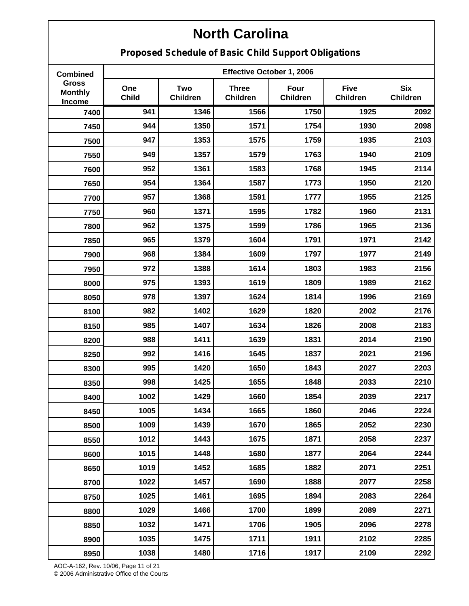**Proposed Schedule of Basic Child Support Obligations**

| <b>Combined</b>                          |                     |                               | Effective October 1, 2006       |                         |                                |                               |
|------------------------------------------|---------------------|-------------------------------|---------------------------------|-------------------------|--------------------------------|-------------------------------|
| <b>Gross</b><br><b>Monthly</b><br>Income | One<br><b>Child</b> | <b>Two</b><br><b>Children</b> | <b>Three</b><br><b>Children</b> | Four<br><b>Children</b> | <b>Five</b><br><b>Children</b> | <b>Six</b><br><b>Children</b> |
| 7400                                     | 941                 | 1346                          | 1566                            | 1750                    | 1925                           | 2092                          |
| 7450                                     | 944                 | 1350                          | 1571                            | 1754                    | 1930                           | 2098                          |
| 7500                                     | 947                 | 1353                          | 1575                            | 1759                    | 1935                           | 2103                          |
| 7550                                     | 949                 | 1357                          | 1579                            | 1763                    | 1940                           | 2109                          |
| 7600                                     | 952                 | 1361                          | 1583                            | 1768                    | 1945                           | 2114                          |
| 7650                                     | 954                 | 1364                          | 1587                            | 1773                    | 1950                           | 2120                          |
| 7700                                     | 957                 | 1368                          | 1591                            | 1777                    | 1955                           | 2125                          |
| 7750                                     | 960                 | 1371                          | 1595                            | 1782                    | 1960                           | 2131                          |
| 7800                                     | 962                 | 1375                          | 1599                            | 1786                    | 1965                           | 2136                          |
| 7850                                     | 965                 | 1379                          | 1604                            | 1791                    | 1971                           | 2142                          |
| 7900                                     | 968                 | 1384                          | 1609                            | 1797                    | 1977                           | 2149                          |
| 7950                                     | 972                 | 1388                          | 1614                            | 1803                    | 1983                           | 2156                          |
| 8000                                     | 975                 | 1393                          | 1619                            | 1809                    | 1989                           | 2162                          |
| 8050                                     | 978                 | 1397                          | 1624                            | 1814                    | 1996                           | 2169                          |
| 8100                                     | 982                 | 1402                          | 1629                            | 1820                    | 2002                           | 2176                          |
| 8150                                     | 985                 | 1407                          | 1634                            | 1826                    | 2008                           | 2183                          |
| 8200                                     | 988                 | 1411                          | 1639                            | 1831                    | 2014                           | 2190                          |
| 8250                                     | 992                 | 1416                          | 1645                            | 1837                    | 2021                           | 2196                          |
| 8300                                     | 995                 | 1420                          | 1650                            | 1843                    | 2027                           | 2203                          |
| 8350                                     | 998                 | 1425                          | 1655                            | 1848                    | 2033                           | 2210                          |
| 8400                                     | 1002                | 1429                          | 1660                            | 1854                    | 2039                           | 2217                          |
| 8450                                     | 1005                | 1434                          | 1665                            | 1860                    | 2046                           | 2224                          |
| 8500                                     | 1009                | 1439                          | 1670                            | 1865                    | 2052                           | 2230                          |
| 8550                                     | 1012                | 1443                          | 1675                            | 1871                    | 2058                           | 2237                          |
| 8600                                     | 1015                | 1448                          | 1680                            | 1877                    | 2064                           | 2244                          |
| 8650                                     | 1019                | 1452                          | 1685                            | 1882                    | 2071                           | 2251                          |
| 8700                                     | 1022                | 1457                          | 1690                            | 1888                    | 2077                           | 2258                          |
| 8750                                     | 1025                | 1461                          | 1695                            | 1894                    | 2083                           | 2264                          |
| 8800                                     | 1029                | 1466                          | 1700                            | 1899                    | 2089                           | 2271                          |
| 8850                                     | 1032                | 1471                          | 1706                            | 1905                    | 2096                           | 2278                          |
| 8900                                     | 1035                | 1475                          | 1711                            | 1911                    | 2102                           | 2285                          |
| 8950                                     | 1038                | 1480                          | 1716                            | 1917                    | 2109                           | 2292                          |

AOC-A-162, Rev. 10/06, Page 11 of 21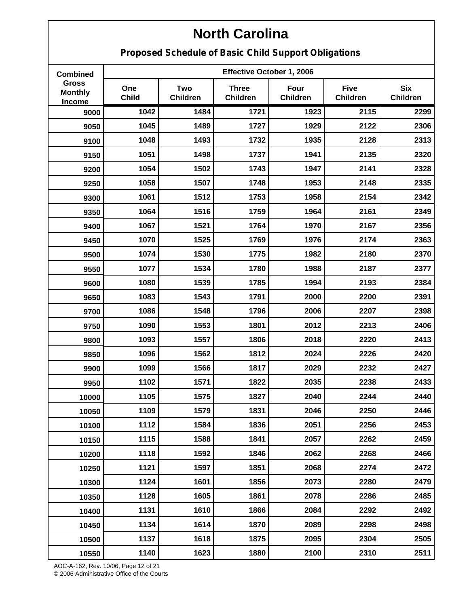**Proposed Schedule of Basic Child Support Obligations**

| <b>Combined</b>                          |                     |                               | Effective October 1, 2006       |                         |                                |                               |
|------------------------------------------|---------------------|-------------------------------|---------------------------------|-------------------------|--------------------------------|-------------------------------|
| <b>Gross</b><br><b>Monthly</b><br>Income | One<br><b>Child</b> | <b>Two</b><br><b>Children</b> | <b>Three</b><br><b>Children</b> | Four<br><b>Children</b> | <b>Five</b><br><b>Children</b> | <b>Six</b><br><b>Children</b> |
| 9000                                     | 1042                | 1484                          | 1721                            | 1923                    | 2115                           | 2299                          |
| 9050                                     | 1045                | 1489                          | 1727                            | 1929                    | 2122                           | 2306                          |
| 9100                                     | 1048                | 1493                          | 1732                            | 1935                    | 2128                           | 2313                          |
| 9150                                     | 1051                | 1498                          | 1737                            | 1941                    | 2135                           | 2320                          |
| 9200                                     | 1054                | 1502                          | 1743                            | 1947                    | 2141                           | 2328                          |
| 9250                                     | 1058                | 1507                          | 1748                            | 1953                    | 2148                           | 2335                          |
| 9300                                     | 1061                | 1512                          | 1753                            | 1958                    | 2154                           | 2342                          |
| 9350                                     | 1064                | 1516                          | 1759                            | 1964                    | 2161                           | 2349                          |
| 9400                                     | 1067                | 1521                          | 1764                            | 1970                    | 2167                           | 2356                          |
| 9450                                     | 1070                | 1525                          | 1769                            | 1976                    | 2174                           | 2363                          |
| 9500                                     | 1074                | 1530                          | 1775                            | 1982                    | 2180                           | 2370                          |
| 9550                                     | 1077                | 1534                          | 1780                            | 1988                    | 2187                           | 2377                          |
| 9600                                     | 1080                | 1539                          | 1785                            | 1994                    | 2193                           | 2384                          |
| 9650                                     | 1083                | 1543                          | 1791                            | 2000                    | 2200                           | 2391                          |
| 9700                                     | 1086                | 1548                          | 1796                            | 2006                    | 2207                           | 2398                          |
| 9750                                     | 1090                | 1553                          | 1801                            | 2012                    | 2213                           | 2406                          |
| 9800                                     | 1093                | 1557                          | 1806                            | 2018                    | 2220                           | 2413                          |
| 9850                                     | 1096                | 1562                          | 1812                            | 2024                    | 2226                           | 2420                          |
| 9900                                     | 1099                | 1566                          | 1817                            | 2029                    | 2232                           | 2427                          |
| 9950                                     | 1102                | 1571                          | 1822                            | 2035                    | 2238                           | 2433                          |
| 10000                                    | 1105                | 1575                          | 1827                            | 2040                    | 2244                           | 2440                          |
| 10050                                    | 1109                | 1579                          | 1831                            | 2046                    | 2250                           | 2446                          |
| 10100                                    | 1112                | 1584                          | 1836                            | 2051                    | 2256                           | 2453                          |
| 10150                                    | 1115                | 1588                          | 1841                            | 2057                    | 2262                           | 2459                          |
| 10200                                    | 1118                | 1592                          | 1846                            | 2062                    | 2268                           | 2466                          |
| 10250                                    | 1121                | 1597                          | 1851                            | 2068                    | 2274                           | 2472                          |
| 10300                                    | 1124                | 1601                          | 1856                            | 2073                    | 2280                           | 2479                          |
| 10350                                    | 1128                | 1605                          | 1861                            | 2078                    | 2286                           | 2485                          |
| 10400                                    | 1131                | 1610                          | 1866                            | 2084                    | 2292                           | 2492                          |
| 10450                                    | 1134                | 1614                          | 1870                            | 2089                    | 2298                           | 2498                          |
| 10500                                    | 1137                | 1618                          | 1875                            | 2095                    | 2304                           | 2505                          |
| 10550                                    | 1140                | 1623                          | 1880                            | 2100                    | 2310                           | 2511                          |

AOC-A-162, Rev. 10/06, Page 12 of 21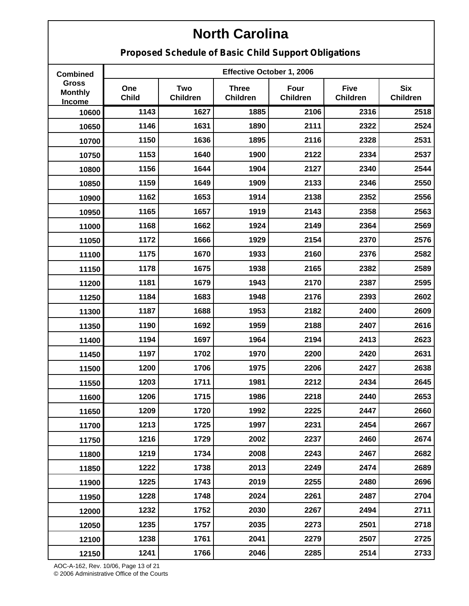**Proposed Schedule of Basic Child Support Obligations**

| <b>Combined</b>                          |                     |                               | Effective October 1, 2006       |                         |                         |                               |
|------------------------------------------|---------------------|-------------------------------|---------------------------------|-------------------------|-------------------------|-------------------------------|
| <b>Gross</b><br><b>Monthly</b><br>Income | One<br><b>Child</b> | <b>Two</b><br><b>Children</b> | <b>Three</b><br><b>Children</b> | Four<br><b>Children</b> | <b>Five</b><br>Children | <b>Six</b><br><b>Children</b> |
| 10600                                    | 1143                | 1627                          | 1885                            | 2106                    | 2316                    | 2518                          |
| 10650                                    | 1146                | 1631                          | 1890                            | 2111                    | 2322                    | 2524                          |
| 10700                                    | 1150                | 1636                          | 1895                            | 2116                    | 2328                    | 2531                          |
| 10750                                    | 1153                | 1640                          | 1900                            | 2122                    | 2334                    | 2537                          |
| 10800                                    | 1156                | 1644                          | 1904                            | 2127                    | 2340                    | 2544                          |
| 10850                                    | 1159                | 1649                          | 1909                            | 2133                    | 2346                    | 2550                          |
| 10900                                    | 1162                | 1653                          | 1914                            | 2138                    | 2352                    | 2556                          |
| 10950                                    | 1165                | 1657                          | 1919                            | 2143                    | 2358                    | 2563                          |
| 11000                                    | 1168                | 1662                          | 1924                            | 2149                    | 2364                    | 2569                          |
| 11050                                    | 1172                | 1666                          | 1929                            | 2154                    | 2370                    | 2576                          |
| 11100                                    | 1175                | 1670                          | 1933                            | 2160                    | 2376                    | 2582                          |
| 11150                                    | 1178                | 1675                          | 1938                            | 2165                    | 2382                    | 2589                          |
| 11200                                    | 1181                | 1679                          | 1943                            | 2170                    | 2387                    | 2595                          |
| 11250                                    | 1184                | 1683                          | 1948                            | 2176                    | 2393                    | 2602                          |
| 11300                                    | 1187                | 1688                          | 1953                            | 2182                    | 2400                    | 2609                          |
| 11350                                    | 1190                | 1692                          | 1959                            | 2188                    | 2407                    | 2616                          |
| 11400                                    | 1194                | 1697                          | 1964                            | 2194                    | 2413                    | 2623                          |
| 11450                                    | 1197                | 1702                          | 1970                            | 2200                    | 2420                    | 2631                          |
| 11500                                    | 1200                | 1706                          | 1975                            | 2206                    | 2427                    | 2638                          |
| 11550                                    | 1203                | 1711                          | 1981                            | 2212                    | 2434                    | 2645                          |
| 11600                                    | 1206                | 1715                          | 1986                            | 2218                    | 2440                    | 2653                          |
| 11650                                    | 1209                | 1720                          | 1992                            | 2225                    | 2447                    | 2660                          |
| 11700                                    | 1213                | 1725                          | 1997                            | 2231                    | 2454                    | 2667                          |
| 11750                                    | 1216                | 1729                          | 2002                            | 2237                    | 2460                    | 2674                          |
| 11800                                    | 1219                | 1734                          | 2008                            | 2243                    | 2467                    | 2682                          |
| 11850                                    | 1222                | 1738                          | 2013                            | 2249                    | 2474                    | 2689                          |
| 11900                                    | 1225                | 1743                          | 2019                            | 2255                    | 2480                    | 2696                          |
| 11950                                    | 1228                | 1748                          | 2024                            | 2261                    | 2487                    | 2704                          |
| 12000                                    | 1232                | 1752                          | 2030                            | 2267                    | 2494                    | 2711                          |
| 12050                                    | 1235                | 1757                          | 2035                            | 2273                    | 2501                    | 2718                          |
| 12100                                    | 1238                | 1761                          | 2041                            | 2279                    | 2507                    | 2725                          |
| 12150                                    | 1241                | 1766                          | 2046                            | 2285                    | 2514                    | 2733                          |

AOC-A-162, Rev. 10/06, Page 13 of 21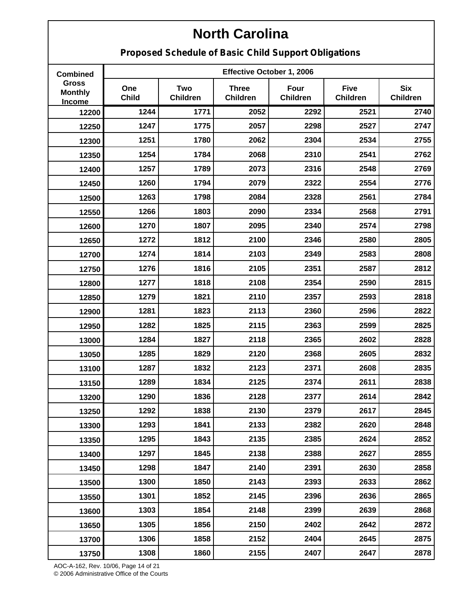**Proposed Schedule of Basic Child Support Obligations**

| <b>Combined</b>                          |                     |                               | Effective October 1, 2006       |                         |                                |                               |
|------------------------------------------|---------------------|-------------------------------|---------------------------------|-------------------------|--------------------------------|-------------------------------|
| <b>Gross</b><br><b>Monthly</b><br>Income | One<br><b>Child</b> | <b>Two</b><br><b>Children</b> | <b>Three</b><br><b>Children</b> | Four<br><b>Children</b> | <b>Five</b><br><b>Children</b> | <b>Six</b><br><b>Children</b> |
| 12200                                    | 1244                | 1771                          | 2052                            | 2292                    | 2521                           | 2740                          |
| 12250                                    | 1247                | 1775                          | 2057                            | 2298                    | 2527                           | 2747                          |
| 12300                                    | 1251                | 1780                          | 2062                            | 2304                    | 2534                           | 2755                          |
| 12350                                    | 1254                | 1784                          | 2068                            | 2310                    | 2541                           | 2762                          |
| 12400                                    | 1257                | 1789                          | 2073                            | 2316                    | 2548                           | 2769                          |
| 12450                                    | 1260                | 1794                          | 2079                            | 2322                    | 2554                           | 2776                          |
| 12500                                    | 1263                | 1798                          | 2084                            | 2328                    | 2561                           | 2784                          |
| 12550                                    | 1266                | 1803                          | 2090                            | 2334                    | 2568                           | 2791                          |
| 12600                                    | 1270                | 1807                          | 2095                            | 2340                    | 2574                           | 2798                          |
| 12650                                    | 1272                | 1812                          | 2100                            | 2346                    | 2580                           | 2805                          |
| 12700                                    | 1274                | 1814                          | 2103                            | 2349                    | 2583                           | 2808                          |
| 12750                                    | 1276                | 1816                          | 2105                            | 2351                    | 2587                           | 2812                          |
| 12800                                    | 1277                | 1818                          | 2108                            | 2354                    | 2590                           | 2815                          |
| 12850                                    | 1279                | 1821                          | 2110                            | 2357                    | 2593                           | 2818                          |
| 12900                                    | 1281                | 1823                          | 2113                            | 2360                    | 2596                           | 2822                          |
| 12950                                    | 1282                | 1825                          | 2115                            | 2363                    | 2599                           | 2825                          |
| 13000                                    | 1284                | 1827                          | 2118                            | 2365                    | 2602                           | 2828                          |
| 13050                                    | 1285                | 1829                          | 2120                            | 2368                    | 2605                           | 2832                          |
| 13100                                    | 1287                | 1832                          | 2123                            | 2371                    | 2608                           | 2835                          |
| 13150                                    | 1289                | 1834                          | 2125                            | 2374                    | 2611                           | 2838                          |
| 13200                                    | 1290                | 1836                          | 2128                            | 2377                    | 2614                           | 2842                          |
| 13250                                    | 1292                | 1838                          | 2130                            | 2379                    | 2617                           | 2845                          |
| 13300                                    | 1293                | 1841                          | 2133                            | 2382                    | 2620                           | 2848                          |
| 13350                                    | 1295                | 1843                          | 2135                            | 2385                    | 2624                           | 2852                          |
| 13400                                    | 1297                | 1845                          | 2138                            | 2388                    | 2627                           | 2855                          |
| 13450                                    | 1298                | 1847                          | 2140                            | 2391                    | 2630                           | 2858                          |
| 13500                                    | 1300                | 1850                          | 2143                            | 2393                    | 2633                           | 2862                          |
| 13550                                    | 1301                | 1852                          | 2145                            | 2396                    | 2636                           | 2865                          |
| 13600                                    | 1303                | 1854                          | 2148                            | 2399                    | 2639                           | 2868                          |
| 13650                                    | 1305                | 1856                          | 2150                            | 2402                    | 2642                           | 2872                          |
| 13700                                    | 1306                | 1858                          | 2152                            | 2404                    | 2645                           | 2875                          |
| 13750                                    | 1308                | 1860                          | 2155                            | 2407                    | 2647                           | 2878                          |

AOC-A-162, Rev. 10/06, Page 14 of 21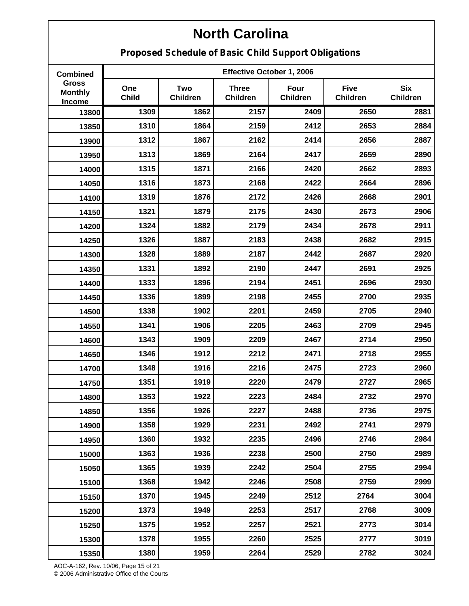**Proposed Schedule of Basic Child Support Obligations**

| <b>Combined</b>                          |                     |                        | Effective October 1, 2006 |                         |                                |                               |
|------------------------------------------|---------------------|------------------------|---------------------------|-------------------------|--------------------------------|-------------------------------|
| <b>Gross</b><br><b>Monthly</b><br>Income | One<br><b>Child</b> | Two<br><b>Children</b> | <b>Three</b><br>Children  | Four<br><b>Children</b> | <b>Five</b><br><b>Children</b> | <b>Six</b><br><b>Children</b> |
| 13800                                    | 1309                | 1862                   | 2157                      | 2409                    | 2650                           | 2881                          |
| 13850                                    | 1310                | 1864                   | 2159                      | 2412                    | 2653                           | 2884                          |
| 13900                                    | 1312                | 1867                   | 2162                      | 2414                    | 2656                           | 2887                          |
| 13950                                    | 1313                | 1869                   | 2164                      | 2417                    | 2659                           | 2890                          |
| 14000                                    | 1315                | 1871                   | 2166                      | 2420                    | 2662                           | 2893                          |
| 14050                                    | 1316                | 1873                   | 2168                      | 2422                    | 2664                           | 2896                          |
| 14100                                    | 1319                | 1876                   | 2172                      | 2426                    | 2668                           | 2901                          |
| 14150                                    | 1321                | 1879                   | 2175                      | 2430                    | 2673                           | 2906                          |
| 14200                                    | 1324                | 1882                   | 2179                      | 2434                    | 2678                           | 2911                          |
| 14250                                    | 1326                | 1887                   | 2183                      | 2438                    | 2682                           | 2915                          |
| 14300                                    | 1328                | 1889                   | 2187                      | 2442                    | 2687                           | 2920                          |
| 14350                                    | 1331                | 1892                   | 2190                      | 2447                    | 2691                           | 2925                          |
| 14400                                    | 1333                | 1896                   | 2194                      | 2451                    | 2696                           | 2930                          |
| 14450                                    | 1336                | 1899                   | 2198                      | 2455                    | 2700                           | 2935                          |
| 14500                                    | 1338                | 1902                   | 2201                      | 2459                    | 2705                           | 2940                          |
| 14550                                    | 1341                | 1906                   | 2205                      | 2463                    | 2709                           | 2945                          |
| 14600                                    | 1343                | 1909                   | 2209                      | 2467                    | 2714                           | 2950                          |
| 14650                                    | 1346                | 1912                   | 2212                      | 2471                    | 2718                           | 2955                          |
| 14700                                    | 1348                | 1916                   | 2216                      | 2475                    | 2723                           | 2960                          |
| 14750                                    | 1351                | 1919                   | 2220                      | 2479                    | 2727                           | 2965                          |
| 14800                                    | 1353                | 1922                   | 2223                      | 2484                    | 2732                           | 2970                          |
| 14850                                    | 1356                | 1926                   | 2227                      | 2488                    | 2736                           | 2975                          |
| 14900                                    | 1358                | 1929                   | 2231                      | 2492                    | 2741                           | 2979                          |
| 14950                                    | 1360                | 1932                   | 2235                      | 2496                    | 2746                           | 2984                          |
| 15000                                    | 1363                | 1936                   | 2238                      | 2500                    | 2750                           | 2989                          |
| 15050                                    | 1365                | 1939                   | 2242                      | 2504                    | 2755                           | 2994                          |
| 15100                                    | 1368                | 1942                   | 2246                      | 2508                    | 2759                           | 2999                          |
| 15150                                    | 1370                | 1945                   | 2249                      | 2512                    | 2764                           | 3004                          |
| 15200                                    | 1373                | 1949                   | 2253                      | 2517                    | 2768                           | 3009                          |
| 15250                                    | 1375                | 1952                   | 2257                      | 2521                    | 2773                           | 3014                          |
| 15300                                    | 1378                | 1955                   | 2260                      | 2525                    | 2777                           | 3019                          |
| 15350                                    | 1380                | 1959                   | 2264                      | 2529                    | 2782                           | 3024                          |

AOC-A-162, Rev. 10/06, Page 15 of 21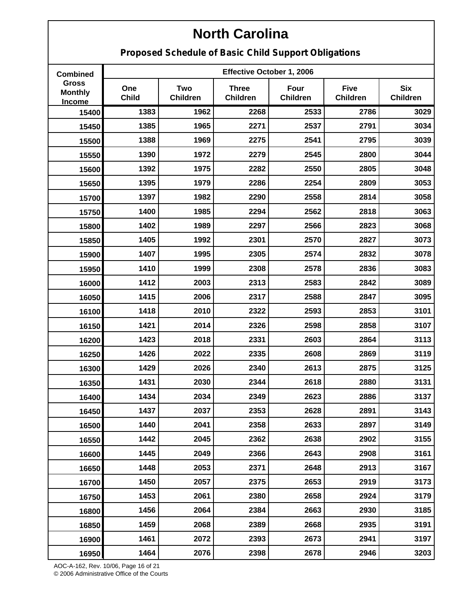**Proposed Schedule of Basic Child Support Obligations**

| <b>Combined</b>                          |                     |                               | Effective October 1, 2006       |                         |                                |                               |
|------------------------------------------|---------------------|-------------------------------|---------------------------------|-------------------------|--------------------------------|-------------------------------|
| <b>Gross</b><br><b>Monthly</b><br>Income | One<br><b>Child</b> | <b>Two</b><br><b>Children</b> | <b>Three</b><br><b>Children</b> | Four<br><b>Children</b> | <b>Five</b><br><b>Children</b> | <b>Six</b><br><b>Children</b> |
| 15400                                    | 1383                | 1962                          | 2268                            | 2533                    | 2786                           | 3029                          |
| 15450                                    | 1385                | 1965                          | 2271                            | 2537                    | 2791                           | 3034                          |
| 15500                                    | 1388                | 1969                          | 2275                            | 2541                    | 2795                           | 3039                          |
| 15550                                    | 1390                | 1972                          | 2279                            | 2545                    | 2800                           | 3044                          |
| 15600                                    | 1392                | 1975                          | 2282                            | 2550                    | 2805                           | 3048                          |
| 15650                                    | 1395                | 1979                          | 2286                            | 2254                    | 2809                           | 3053                          |
| 15700                                    | 1397                | 1982                          | 2290                            | 2558                    | 2814                           | 3058                          |
| 15750                                    | 1400                | 1985                          | 2294                            | 2562                    | 2818                           | 3063                          |
| 15800                                    | 1402                | 1989                          | 2297                            | 2566                    | 2823                           | 3068                          |
| 15850                                    | 1405                | 1992                          | 2301                            | 2570                    | 2827                           | 3073                          |
| 15900                                    | 1407                | 1995                          | 2305                            | 2574                    | 2832                           | 3078                          |
| 15950                                    | 1410                | 1999                          | 2308                            | 2578                    | 2836                           | 3083                          |
| 16000                                    | 1412                | 2003                          | 2313                            | 2583                    | 2842                           | 3089                          |
| 16050                                    | 1415                | 2006                          | 2317                            | 2588                    | 2847                           | 3095                          |
| 16100                                    | 1418                | 2010                          | 2322                            | 2593                    | 2853                           | 3101                          |
| 16150                                    | 1421                | 2014                          | 2326                            | 2598                    | 2858                           | 3107                          |
| 16200                                    | 1423                | 2018                          | 2331                            | 2603                    | 2864                           | 3113                          |
| 16250                                    | 1426                | 2022                          | 2335                            | 2608                    | 2869                           | 3119                          |
| 16300                                    | 1429                | 2026                          | 2340                            | 2613                    | 2875                           | 3125                          |
| 16350                                    | 1431                | 2030                          | 2344                            | 2618                    | 2880                           | 3131                          |
| 16400                                    | 1434                | 2034                          | 2349                            | 2623                    | 2886                           | 3137                          |
| 16450                                    | 1437                | 2037                          | 2353                            | 2628                    | 2891                           | 3143                          |
| 16500                                    | 1440                | 2041                          | 2358                            | 2633                    | 2897                           | 3149                          |
| 16550                                    | 1442                | 2045                          | 2362                            | 2638                    | 2902                           | 3155                          |
| 16600                                    | 1445                | 2049                          | 2366                            | 2643                    | 2908                           | 3161                          |
| 16650                                    | 1448                | 2053                          | 2371                            | 2648                    | 2913                           | 3167                          |
| 16700                                    | 1450                | 2057                          | 2375                            | 2653                    | 2919                           | 3173                          |
| 16750                                    | 1453                | 2061                          | 2380                            | 2658                    | 2924                           | 3179                          |
| 16800                                    | 1456                | 2064                          | 2384                            | 2663                    | 2930                           | 3185                          |
| 16850                                    | 1459                | 2068                          | 2389                            | 2668                    | 2935                           | 3191                          |
| 16900                                    | 1461                | 2072                          | 2393                            | 2673                    | 2941                           | 3197                          |
| 16950                                    | 1464                | 2076                          | 2398                            | 2678                    | 2946                           | 3203                          |

AOC-A-162, Rev. 10/06, Page 16 of 21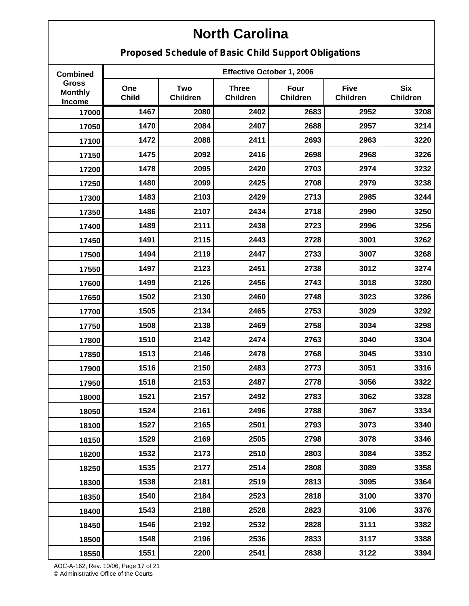**Proposed Schedule of Basic Child Support Obligations**

| <b>Combined</b>                                 |                     | Effective October 1, 2006 |                                 |                         |                                |                               |
|-------------------------------------------------|---------------------|---------------------------|---------------------------------|-------------------------|--------------------------------|-------------------------------|
| <b>Gross</b><br><b>Monthly</b><br><b>Income</b> | One<br><b>Child</b> | Two<br><b>Children</b>    | <b>Three</b><br><b>Children</b> | Four<br><b>Children</b> | <b>Five</b><br><b>Children</b> | <b>Six</b><br><b>Children</b> |
| 17000                                           | 1467                | 2080                      | 2402                            | 2683                    | 2952                           | 3208                          |
| 17050                                           | 1470                | 2084                      | 2407                            | 2688                    | 2957                           | 3214                          |
| 17100                                           | 1472                | 2088                      | 2411                            | 2693                    | 2963                           | 3220                          |
| 17150                                           | 1475                | 2092                      | 2416                            | 2698                    | 2968                           | 3226                          |
| 17200                                           | 1478                | 2095                      | 2420                            | 2703                    | 2974                           | 3232                          |
| 17250                                           | 1480                | 2099                      | 2425                            | 2708                    | 2979                           | 3238                          |
| 17300                                           | 1483                | 2103                      | 2429                            | 2713                    | 2985                           | 3244                          |
| 17350                                           | 1486                | 2107                      | 2434                            | 2718                    | 2990                           | 3250                          |
| 17400                                           | 1489                | 2111                      | 2438                            | 2723                    | 2996                           | 3256                          |
| 17450                                           | 1491                | 2115                      | 2443                            | 2728                    | 3001                           | 3262                          |
| 17500                                           | 1494                | 2119                      | 2447                            | 2733                    | 3007                           | 3268                          |
| 17550                                           | 1497                | 2123                      | 2451                            | 2738                    | 3012                           | 3274                          |
| 17600                                           | 1499                | 2126                      | 2456                            | 2743                    | 3018                           | 3280                          |
| 17650                                           | 1502                | 2130                      | 2460                            | 2748                    | 3023                           | 3286                          |
| 17700                                           | 1505                | 2134                      | 2465                            | 2753                    | 3029                           | 3292                          |
| 17750                                           | 1508                | 2138                      | 2469                            | 2758                    | 3034                           | 3298                          |
| 17800                                           | 1510                | 2142                      | 2474                            | 2763                    | 3040                           | 3304                          |
| 17850                                           | 1513                | 2146                      | 2478                            | 2768                    | 3045                           | 3310                          |
| 17900                                           | 1516                | 2150                      | 2483                            | 2773                    | 3051                           | 3316                          |
| 17950                                           | 1518                | 2153                      | 2487                            | 2778                    | 3056                           | 3322                          |
| 18000                                           | 1521                | 2157                      | 2492                            | 2783                    | 3062                           | 3328                          |
| 18050                                           | 1524                | 2161                      | 2496                            | 2788                    | 3067                           | 3334                          |
| 18100                                           | 1527                | 2165                      | 2501                            | 2793                    | 3073                           | 3340                          |
| 18150                                           | 1529                | 2169                      | 2505                            | 2798                    | 3078                           | 3346                          |
| 18200                                           | 1532                | 2173                      | 2510                            | 2803                    | 3084                           | 3352                          |
| 18250                                           | 1535                | 2177                      | 2514                            | 2808                    | 3089                           | 3358                          |
| 18300                                           | 1538                | 2181                      | 2519                            | 2813                    | 3095                           | 3364                          |
| 18350                                           | 1540                | 2184                      | 2523                            | 2818                    | 3100                           | 3370                          |
| 18400                                           | 1543                | 2188                      | 2528                            | 2823                    | 3106                           | 3376                          |
| 18450                                           | 1546                | 2192                      | 2532                            | 2828                    | 3111                           | 3382                          |
| 18500                                           | 1548                | 2196                      | 2536                            | 2833                    | 3117                           | 3388                          |
| 18550                                           | 1551                | 2200                      | 2541                            | 2838                    | 3122                           | 3394                          |

AOC-A-162, Rev. 10/06, Page 17 of 21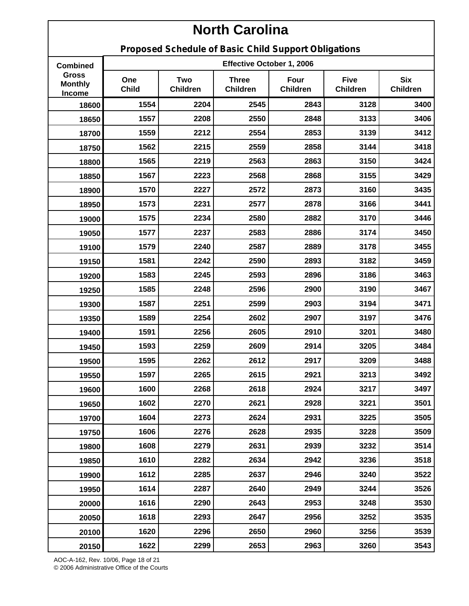**Proposed Schedule of Basic Child Support Obligations**

| <b>Combined</b>                          | Effective October 1, 2006 |                               |                                 |                         |                                |                               |
|------------------------------------------|---------------------------|-------------------------------|---------------------------------|-------------------------|--------------------------------|-------------------------------|
| <b>Gross</b><br><b>Monthly</b><br>Income | One<br><b>Child</b>       | <b>Two</b><br><b>Children</b> | <b>Three</b><br><b>Children</b> | Four<br><b>Children</b> | <b>Five</b><br><b>Children</b> | <b>Six</b><br><b>Children</b> |
| 18600                                    | 1554                      | 2204                          | 2545                            | 2843                    | 3128                           | 3400                          |
| 18650                                    | 1557                      | 2208                          | 2550                            | 2848                    | 3133                           | 3406                          |
| 18700                                    | 1559                      | 2212                          | 2554                            | 2853                    | 3139                           | 3412                          |
| 18750                                    | 1562                      | 2215                          | 2559                            | 2858                    | 3144                           | 3418                          |
| 18800                                    | 1565                      | 2219                          | 2563                            | 2863                    | 3150                           | 3424                          |
| 18850                                    | 1567                      | 2223                          | 2568                            | 2868                    | 3155                           | 3429                          |
| 18900                                    | 1570                      | 2227                          | 2572                            | 2873                    | 3160                           | 3435                          |
| 18950                                    | 1573                      | 2231                          | 2577                            | 2878                    | 3166                           | 3441                          |
| 19000                                    | 1575                      | 2234                          | 2580                            | 2882                    | 3170                           | 3446                          |
| 19050                                    | 1577                      | 2237                          | 2583                            | 2886                    | 3174                           | 3450                          |
| 19100                                    | 1579                      | 2240                          | 2587                            | 2889                    | 3178                           | 3455                          |
| 19150                                    | 1581                      | 2242                          | 2590                            | 2893                    | 3182                           | 3459                          |
| 19200                                    | 1583                      | 2245                          | 2593                            | 2896                    | 3186                           | 3463                          |
| 19250                                    | 1585                      | 2248                          | 2596                            | 2900                    | 3190                           | 3467                          |
| 19300                                    | 1587                      | 2251                          | 2599                            | 2903                    | 3194                           | 3471                          |
| 19350                                    | 1589                      | 2254                          | 2602                            | 2907                    | 3197                           | 3476                          |
| 19400                                    | 1591                      | 2256                          | 2605                            | 2910                    | 3201                           | 3480                          |
| 19450                                    | 1593                      | 2259                          | 2609                            | 2914                    | 3205                           | 3484                          |
| 19500                                    | 1595                      | 2262                          | 2612                            | 2917                    | 3209                           | 3488                          |
| 19550                                    | 1597                      | 2265                          | 2615                            | 2921                    | 3213                           | 3492                          |
| 19600                                    | 1600                      | 2268                          | 2618                            | 2924                    | 3217                           | 3497                          |
| 19650                                    | 1602                      | 2270                          | 2621                            | 2928                    | 3221                           | 3501                          |
| 19700                                    | 1604                      | 2273                          | 2624                            | 2931                    | 3225                           | 3505                          |
| 19750                                    | 1606                      | 2276                          | 2628                            | 2935                    | 3228                           | 3509                          |
| 19800                                    | 1608                      | 2279                          | 2631                            | 2939                    | 3232                           | 3514                          |
| 19850                                    | 1610                      | 2282                          | 2634                            | 2942                    | 3236                           | 3518                          |
| 19900                                    | 1612                      | 2285                          | 2637                            | 2946                    | 3240                           | 3522                          |
| 19950                                    | 1614                      | 2287                          | 2640                            | 2949                    | 3244                           | 3526                          |
| 20000                                    | 1616                      | 2290                          | 2643                            | 2953                    | 3248                           | 3530                          |
| 20050                                    | 1618                      | 2293                          | 2647                            | 2956                    | 3252                           | 3535                          |
| 20100                                    | 1620                      | 2296                          | 2650                            | 2960                    | 3256                           | 3539                          |
| 20150                                    | 1622                      | 2299                          | 2653                            | 2963                    | 3260                           | 3543                          |

AOC-A-162, Rev. 10/06, Page 18 of 21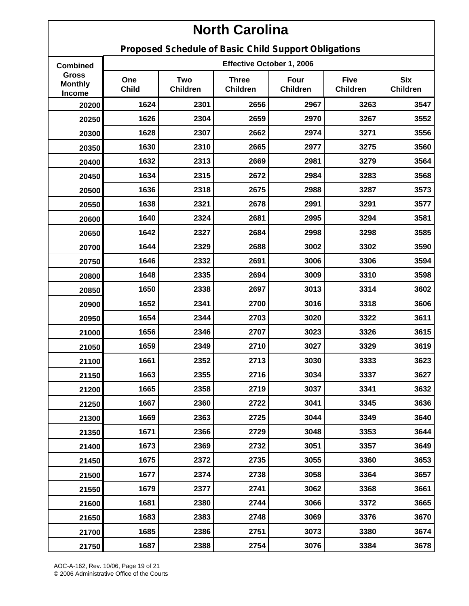**Proposed Schedule of Basic Child Support Obligations**

| <b>Combined</b>                          | Effective October 1, 2006 |                        |                                 |                         |                                |                               |  |
|------------------------------------------|---------------------------|------------------------|---------------------------------|-------------------------|--------------------------------|-------------------------------|--|
| <b>Gross</b><br><b>Monthly</b><br>Income | One<br><b>Child</b>       | Two<br><b>Children</b> | <b>Three</b><br><b>Children</b> | Four<br><b>Children</b> | <b>Five</b><br><b>Children</b> | <b>Six</b><br><b>Children</b> |  |
| 20200                                    | 1624                      | 2301                   | 2656                            | 2967                    | 3263                           | 3547                          |  |
| 20250                                    | 1626                      | 2304                   | 2659                            | 2970                    | 3267                           | 3552                          |  |
| 20300                                    | 1628                      | 2307                   | 2662                            | 2974                    | 3271                           | 3556                          |  |
| 20350                                    | 1630                      | 2310                   | 2665                            | 2977                    | 3275                           | 3560                          |  |
| 20400                                    | 1632                      | 2313                   | 2669                            | 2981                    | 3279                           | 3564                          |  |
| 20450                                    | 1634                      | 2315                   | 2672                            | 2984                    | 3283                           | 3568                          |  |
| 20500                                    | 1636                      | 2318                   | 2675                            | 2988                    | 3287                           | 3573                          |  |
| 20550                                    | 1638                      | 2321                   | 2678                            | 2991                    | 3291                           | 3577                          |  |
| 20600                                    | 1640                      | 2324                   | 2681                            | 2995                    | 3294                           | 3581                          |  |
| 20650                                    | 1642                      | 2327                   | 2684                            | 2998                    | 3298                           | 3585                          |  |
| 20700                                    | 1644                      | 2329                   | 2688                            | 3002                    | 3302                           | 3590                          |  |
| 20750                                    | 1646                      | 2332                   | 2691                            | 3006                    | 3306                           | 3594                          |  |
| 20800                                    | 1648                      | 2335                   | 2694                            | 3009                    | 3310                           | 3598                          |  |
| 20850                                    | 1650                      | 2338                   | 2697                            | 3013                    | 3314                           | 3602                          |  |
| 20900                                    | 1652                      | 2341                   | 2700                            | 3016                    | 3318                           | 3606                          |  |
| 20950                                    | 1654                      | 2344                   | 2703                            | 3020                    | 3322                           | 3611                          |  |
| 21000                                    | 1656                      | 2346                   | 2707                            | 3023                    | 3326                           | 3615                          |  |
| 21050                                    | 1659                      | 2349                   | 2710                            | 3027                    | 3329                           | 3619                          |  |
| 21100                                    | 1661                      | 2352                   | 2713                            | 3030                    | 3333                           | 3623                          |  |
| 21150                                    | 1663                      | 2355                   | 2716                            | 3034                    | 3337                           | 3627                          |  |
| 21200                                    | 1665                      | 2358                   | 2719                            | 3037                    | 3341                           | 3632                          |  |
| 21250                                    | 1667                      | 2360                   | 2722                            | 3041                    | 3345                           | 3636                          |  |
| 21300                                    | 1669                      | 2363                   | 2725                            | 3044                    | 3349                           | 3640                          |  |
| 21350                                    | 1671                      | 2366                   | 2729                            | 3048                    | 3353                           | 3644                          |  |
| 21400                                    | 1673                      | 2369                   | 2732                            | 3051                    | 3357                           | 3649                          |  |
| 21450                                    | 1675                      | 2372                   | 2735                            | 3055                    | 3360                           | 3653                          |  |
| 21500                                    | 1677                      | 2374                   | 2738                            | 3058                    | 3364                           | 3657                          |  |
| 21550                                    | 1679                      | 2377                   | 2741                            | 3062                    | 3368                           | 3661                          |  |
| 21600                                    | 1681                      | 2380                   | 2744                            | 3066                    | 3372                           | 3665                          |  |
| 21650                                    | 1683                      | 2383                   | 2748                            | 3069                    | 3376                           | 3670                          |  |
| 21700                                    | 1685                      | 2386                   | 2751                            | 3073                    | 3380                           | 3674                          |  |
| 21750                                    | 1687                      | 2388                   | 2754                            | 3076                    | 3384                           | 3678                          |  |

AOC-A-162, Rev. 10/06, Page 19 of 21 © 2006 Administrative Office of the Courts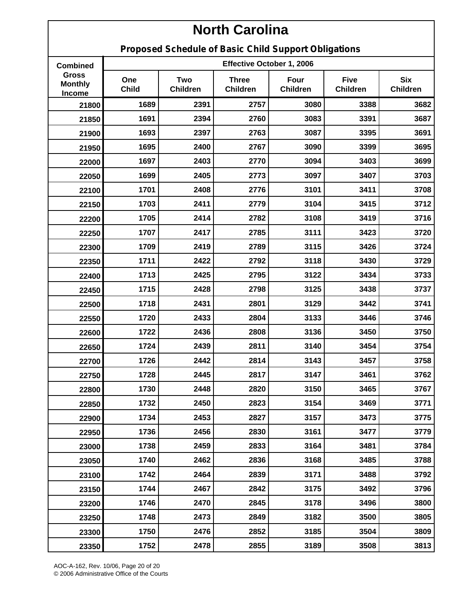**Proposed Schedule of Basic Child Support Obligations**

| <b>Combined</b>                          | Effective October 1, 2006 |                        |                                 |                         |                                |                               |  |
|------------------------------------------|---------------------------|------------------------|---------------------------------|-------------------------|--------------------------------|-------------------------------|--|
| <b>Gross</b><br><b>Monthly</b><br>Income | One<br><b>Child</b>       | Two<br><b>Children</b> | <b>Three</b><br><b>Children</b> | Four<br><b>Children</b> | <b>Five</b><br><b>Children</b> | <b>Six</b><br><b>Children</b> |  |
| 21800                                    | 1689                      | 2391                   | 2757                            | 3080                    | 3388                           | 3682                          |  |
| 21850                                    | 1691                      | 2394                   | 2760                            | 3083                    | 3391                           | 3687                          |  |
| 21900                                    | 1693                      | 2397                   | 2763                            | 3087                    | 3395                           | 3691                          |  |
| 21950                                    | 1695                      | 2400                   | 2767                            | 3090                    | 3399                           | 3695                          |  |
| 22000                                    | 1697                      | 2403                   | 2770                            | 3094                    | 3403                           | 3699                          |  |
| 22050                                    | 1699                      | 2405                   | 2773                            | 3097                    | 3407                           | 3703                          |  |
| 22100                                    | 1701                      | 2408                   | 2776                            | 3101                    | 3411                           | 3708                          |  |
| 22150                                    | 1703                      | 2411                   | 2779                            | 3104                    | 3415                           | 3712                          |  |
| 22200                                    | 1705                      | 2414                   | 2782                            | 3108                    | 3419                           | 3716                          |  |
| 22250                                    | 1707                      | 2417                   | 2785                            | 3111                    | 3423                           | 3720                          |  |
| 22300                                    | 1709                      | 2419                   | 2789                            | 3115                    | 3426                           | 3724                          |  |
| 22350                                    | 1711                      | 2422                   | 2792                            | 3118                    | 3430                           | 3729                          |  |
| 22400                                    | 1713                      | 2425                   | 2795                            | 3122                    | 3434                           | 3733                          |  |
| 22450                                    | 1715                      | 2428                   | 2798                            | 3125                    | 3438                           | 3737                          |  |
| 22500                                    | 1718                      | 2431                   | 2801                            | 3129                    | 3442                           | 3741                          |  |
| 22550                                    | 1720                      | 2433                   | 2804                            | 3133                    | 3446                           | 3746                          |  |
| 22600                                    | 1722                      | 2436                   | 2808                            | 3136                    | 3450                           | 3750                          |  |
| 22650                                    | 1724                      | 2439                   | 2811                            | 3140                    | 3454                           | 3754                          |  |
| 22700                                    | 1726                      | 2442                   | 2814                            | 3143                    | 3457                           | 3758                          |  |
| 22750                                    | 1728                      | 2445                   | 2817                            | 3147                    | 3461                           | 3762                          |  |
| 22800                                    | 1730                      | 2448                   | 2820                            | 3150                    | 3465                           | 3767                          |  |
| 22850                                    | 1732                      | 2450                   | 2823                            | 3154                    | 3469                           | 3771                          |  |
| 22900                                    | 1734                      | 2453                   | 2827                            | 3157                    | 3473                           | 3775                          |  |
| 22950                                    | 1736                      | 2456                   | 2830                            | 3161                    | 3477                           | 3779                          |  |
| 23000                                    | 1738                      | 2459                   | 2833                            | 3164                    | 3481                           | 3784                          |  |
| 23050                                    | 1740                      | 2462                   | 2836                            | 3168                    | 3485                           | 3788                          |  |
| 23100                                    | 1742                      | 2464                   | 2839                            | 3171                    | 3488                           | 3792                          |  |
| 23150                                    | 1744                      | 2467                   | 2842                            | 3175                    | 3492                           | 3796                          |  |
| 23200                                    | 1746                      | 2470                   | 2845                            | 3178                    | 3496                           | 3800                          |  |
| 23250                                    | 1748                      | 2473                   | 2849                            | 3182                    | 3500                           | 3805                          |  |
| 23300                                    | 1750                      | 2476                   | 2852                            | 3185                    | 3504                           | 3809                          |  |
| 23350                                    | 1752                      | 2478                   | 2855                            | 3189                    | 3508                           | 3813                          |  |